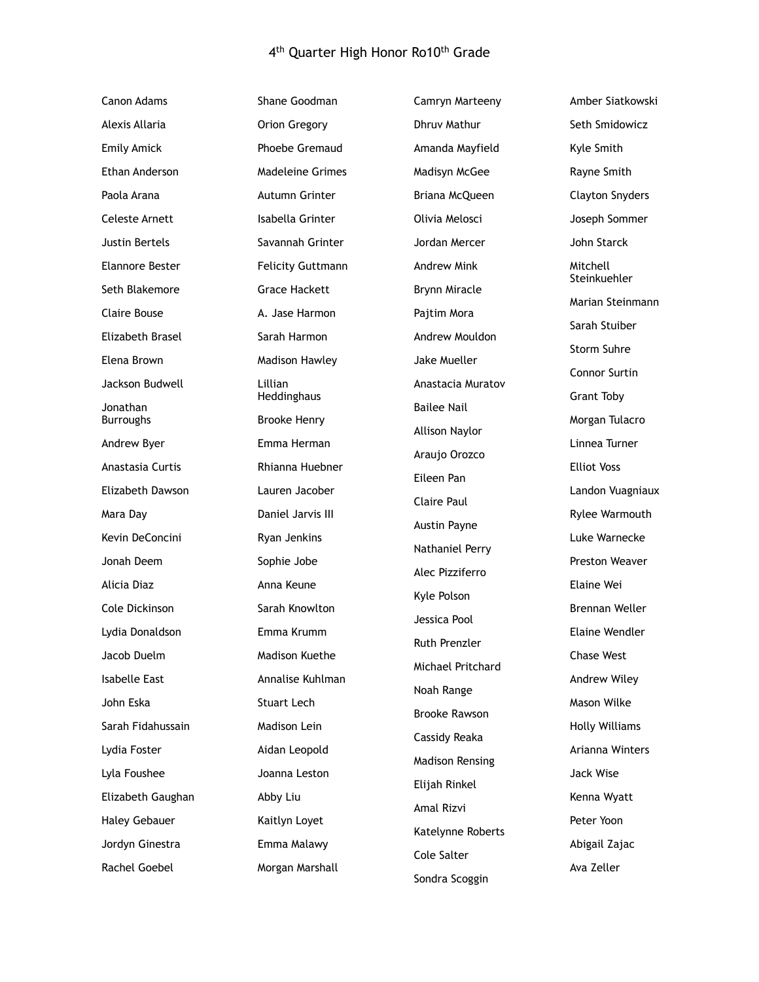## 4<sup>th</sup> Quarter High Honor Ro10<sup>th</sup> Grade

| <b>Canon Adams</b>           | Shane Goodman             | Camryn Marteeny        |
|------------------------------|---------------------------|------------------------|
| Alexis Allaria               | Orion Gregory             | <b>Dhruv Mathur</b>    |
| <b>Emily Amick</b>           | Phoebe Gremaud            | Amanda Mayfield        |
| Ethan Anderson               | Madeleine Grimes          | Madisyn McGee          |
| Paola Arana                  | Autumn Grinter            | Briana McQueen         |
| Celeste Arnett               | Isabella Grinter          | Olivia Melosci         |
| Justin Bertels               | Savannah Grinter          | Jordan Mercer          |
| Elannore Bester              | <b>Felicity Guttmann</b>  | Andrew Mink            |
| Seth Blakemore               | <b>Grace Hackett</b>      | Brynn Miracle          |
| Claire Bouse                 | A. Jase Harmon            | Pajtim Mora            |
| Elizabeth Brasel             | Sarah Harmon              | Andrew Mouldon         |
| Elena Brown                  | Madison Hawley            | Jake Mueller           |
| Jackson Budwell              | Lillian<br>Heddinghaus    | Anastacia Muratov      |
| Jonathan<br><b>Burroughs</b> | <b>Brooke Henry</b>       | <b>Bailee Nail</b>     |
| Andrew Byer                  | Emma Herman               | Allison Naylor         |
| Anastasia Curtis             | Rhianna Huebner           | Araujo Orozco          |
| Elizabeth Dawson             | Lauren Jacober            | Eileen Pan             |
|                              | Daniel Jarvis III         | Claire Paul            |
| Mara Day<br>Kevin DeConcini  | Ryan Jenkins              | Austin Payne           |
| Jonah Deem                   |                           | Nathaniel Perry        |
| Alicia Diaz                  | Sophie Jobe<br>Anna Keune | Alec Pizziferro        |
| Cole Dickinson               | Sarah Knowlton            | Kyle Polson            |
| Lydia Donaldson              | Emma Krumm                | Jessica Pool           |
| Jacob Duelm                  | Madison Kuethe            | Ruth Prenzler          |
| Isabelle East                | Annalise Kuhlman          | Michael Pritchard      |
| John Eska                    | Stuart Lech               | Noah Range             |
| Sarah Fidahussain            | Madison Lein              | <b>Brooke Rawson</b>   |
| Lydia Foster                 | Aidan Leopold             | Cassidy Reaka          |
| Lyla Foushee                 | Joanna Leston             | <b>Madison Rensing</b> |
| Elizabeth Gaughan            | Abby Liu                  | Elijah Rinkel          |
|                              |                           | Amal Rizvi             |
| <b>Haley Gebauer</b>         | Kaitlyn Loyet             | Katelynne Roberts      |
| Jordyn Ginestra              | Emma Malawy               | Cole Salter            |
| Rachel Goebel                | Morgan Marshall           | Sondra Scoggin         |

Amber Siatkowski Seth Smidowicz Kyle Smith Rayne Smith Clayton Snyders Joseph Sommer John Starck Mitchell Steinkuehler Marian Steinmann Sarah Stuiber Storm Suhre Connor Surtin Grant Toby Morgan Tulacro Linnea Turner Elliot Voss Landon Vuagniaux Rylee Warmouth Luke Warnecke Preston Weaver Elaine Wei Brennan Weller Elaine Wendler Chase West Andrew Wiley Mason Wilke Holly Williams Arianna Winters Jack Wise Kenna Wyatt Peter Yoon Abigail Zajac Ava Zeller